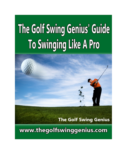# The Golf Swing Genius' Guide To Swinging Like A Pro



# **The Golf Swing Genius**

www.thegolfswinggenius.com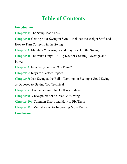# **Table of Contents**

### **Introduction**

- **Chapter 1:** The Setup Made Easy
- **Chapter 2:** Getting Your Swing in Sync Includes the Weight Shift and
- How to Turn Correctly in the Swing
- **Chapter 3:** Maintain Your Angles and Stay Level in the Swing
- **Chapter 4:** The Wrist Hinge A Big Key for Creating Leverage and

Power

- **Chapter 5:** Easy Ways to Stay "On Plane"
- **Chapter 6:** Keys for Perfect Impact
- **Chapter 7:** Just Swing at the Ball Working on Feeling a Good Swing
- as Opposed to Getting Too Technical
- **Chapter 8:** Understanding That Golf is a Balance
- **Chapter 9:** Checkpoints for a Great Golf Swing
- **Chapter 10:** Common Errors and How to Fix Them
- **Chapter 11:** Mental Keys for Improving More Easily

**Conclusion**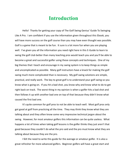# **Introduction**

Hello! Thanks for getting your copy of The Golf Swing Genius' Guide To Swinging Like A Pro. I am confident if you use the information given throughout this Ebook, you will have more success on the golf course than you may have even thought was possible. Golf is a game that is meant to be fun. It sure is a lot more fun when you are playing well. I've given you all the information you need right here in this E-Guide to learn to swing the golf club better than many teaching pros would teach you and you'll be able to become a great and successful golfer using these concepts and techniques. One of my big themes that I teach and encourage in my swing system is to keep things as simple and uncomplicated as possible. Many golf instructors have a knack for making the golf swing much more complicated than is necessary. My golf swing solutions are simple, practical, and really work. The key to great golf is to understand your golf swing so you know what is going on. If you hit a bad shot, you know why and know what to do to get right back on track. The worst thing in my opinion is when a golfer hits a bad shot and then follows it up with another bad one on top of that because they didn't know what caused the first bad one.

It's quite common for golf pros to not be able to teach well. Most golf pros only got good at golf from practicing all the time. They may think they know what they are talking about and they often know some very impressive technical jargon about the swing. However, for most amateur golfers this information can be quite useless. What happens a lot of times when taking golf lessons is the golfer thinks they just aren't that good because they couldn't do what the pro said and the pro must know what they are talking about because they are the pro.

I felt the need to write this guide for the average or amateur golfer. It is also a great refresher for more advanced golfers. Beginner golfers will have a great start and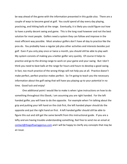be way ahead of the game with the information presented in this guide also. There are a couple of ways to become good at golf. You could spend all day every day playing, practicing, and hitting balls at the range. Eventually, it is likely you could figure out how to have a pretty decent swing and game. This is the long road however and not the best solution for most people. Golfers need a system they can follow and improve in the most efficient way possible. Most amateur golfers don't have all day to practice like the pros do. You probably have a regular job plus other activities and interests besides just golf. Even if you only play once or twice a month, you should still be able to play well. My system consists of making you a better golfer very quickly. Of course it helps to practice and go to the driving range to work on your game and your swing. But I don't think you need to beat balls at the range for hours and hours to develop a good swing. In fact, too much practice of the wrong things will not help you at all. Practice doesn't make perfect, perfect practice makes perfect. So I'm going to teach you the necessary information about the golf swing that will have you playing up to your potential in no time. Good luck and enjoy!

One additional point I would like to make is when I give instructions on how to do something throughout this Ebook, I am assuming you are right handed. For the left handed golfer, you will have to do the opposite. For example when I'm talking about the grip and putting your left hand on the club first, the left handed player should do the opposite and put the right hand on first. A left handed golfer should still be able to figure this out and still get the same benefit from this instructional guide. If you are a lefty and are having trouble understanding something, feel free to send me an email at contact@thegolfswinggenius.com and I will be happy to clarify any concepts that may be an issue.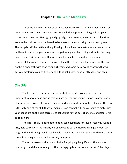#### **Chapter 1: The Setup Made Easy**

The setup is the first order of business you need to start with in order to learn or improve your golf swing. I cannot stress enough the importance of a good setup with correct fundamentals. Having a good grip, alignment, stance, posture, and ball position are the five main keys you will need to be aware of when working on your swing setup. The setup is half the battle in the golf swing. If you have poor setup fundamentals, you will have to make compensations in your golf swing in order to hit good shots. You may have two faults in your swing that offset each other, but you will be much more consistent if you can get your setup correct and then from there learn to swing the club on the proper path with good tempo, rhythm, and some basic swing concepts that will get you mastering your golf swing and hitting solid shots consistently again and again.

#### *The Grip*

The first part of the setup that needs to be correct is your grip. It is very important to have a solid grip so that you are not making compensations in other parts of your setup or your golf swing. The grip is what connects you to the golf club. The grip is the only part of the club that you actually have contact with so you want to make sure your hands are on the club correctly to set you up for the best chance to consistently hit good golf shots.

The grip is really important for hitting solid golf shots for several reasons. A good grip, held correctly in the fingers, will allow you to set the club by making a proper wrist hinge in the backswing. You'll also be able to keep the clubface square much more easily throughout the golf swing and especially at impact.

There are two ways that are both fine for gripping the golf club. There is the overlap grip and the interlock grip. The overlap grip is more popular, most of the players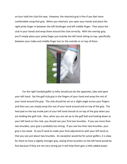on tour hold the club this way. However, the interlock grip is fine if you feel more comfortable using that grip. When you interlock, you open your hands and place the right pinky finger in between the left forefinger and left middle finger. Then place the club in your hands and wrap them around the club correctly. With the overlap grip, you'll simply place your pinky finger just outside the left hand sitting on top, specifically between your index and middle finger but on the outside or on top of them.



For the right handed golfer (a lefty should just do the opposite), take and open your left hand. Set the golf club grip in the fingers of your hand and wrap the rest of your hand around the grip. The club should be set on a slight angle across your fingers and then you can simply wrap the rest of your hand around and on top of the grip. The heel pad on the top inside part of your left hand should sit on top of the grip when you are holding the golf club. Also, when you are set up to the golf ball and looking down at your left hand on the club, you should see your first two knuckles. If you see more than two knuckles, your grip is probably too strong. If you see less than two knuckles, your grip is too weak. So you'll need to make your final adjustments with your left hand so that you see just about two knuckles. An exception would be for junior golfers, it is okay for them to have a slightly stronger grip, seeing three knuckles on the left hand would be fine because if they are not very strong yet it will help them gain a little added power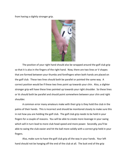from having a slightly stronger grip.



The position of your right hand should also be wrapped around the golf club grip so that it is also in the fingers of the right hand. Now, there are two lines or V shapes that are formed between your thumbs and forefingers when both hands are placed on the golf club. These two lines should both be parallel or pointed the same way. A correct position would be if these two lines point up towards your chin. Also, a slighter stronger grip will have these lines pointed up towards your right shoulder. So these lines or Vs should both be parallel and should point somewhere between your chin and right shoulder.

A common error many amateurs make with their grip is they hold the club in the palms of their hands. This is incorrect and should be monitored closely to make sure this in not how you are holding the golf club. The golf club grip needs to be held in your fingers for a couple of reasons. You will be able to create more leverage in your swing which will in turn lead to more club head speed and more power. Secondly, you'll be able to swing the club easier and hit the ball more solidly with a correct grip held in your fingers.

Also, make sure to have the golf club grip all the way in your hands. Your left hand should not be hanging off the end of the club at all. The butt end of the grip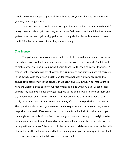should be sticking out just slightly. If this is hard to do, you just have to bend more, or you may need longer clubs.

Your grip pressure should be not too tight, but not too loose either. You shouldn't worry too much about grip pressure, just do what feels natural and you'll be fine. Some golfers have the death grip and grip the club too tightly, but this will cause you to lose the fluidity that is necessary for a nice, smooth swing.

#### *The Stance*

The golf stance for most clubs should typically be shoulder width apart. A stance that is too narrow will not be a solid enough base for you to turn around. You'll be apt to make compensations in your swing if your stance is either too narrow or too wide. A stance that is too wide will not allow you to turn properly and shift your weight correctly in the swing. With the driver, a slightly wider than shoulder width stance is good to ensure extra stability since the driver is the longest club you swing. Also, make sure to have the weight on the balls of your feet when setting up with any club. A good test I use with my students is once they get setup up to the ball, I'll walk in front of them and try to push them over at their shoulders. If they are on the balls of their feet, I can't easily push them over. If they are on their heels, it'll be easy to push them backwards. The opposite is also true, if you have too much weight forward or on your toes, you can be pushed over easily if someone tried to push you from behind. So make sure to get the weight on the balls of your feet to ensure good balance. Having your weight too far back in your heels or too far forward on your toes will make you start your swing on the wrong path and you won't be able to hit the ball as well. Make sure to set up in the balls of your feet as this will ensure good balance and a proper golf backswing which will lead to a good downswing and solid striking of the golf ball.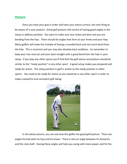#### *Posture*

Once you have your grip in order and have your stance correct, the next thing to be aware of is your posture. Great golf posture will consist of having good angles in the setup or address position. You want to make sure your knees are bent and you are bending from the hips. There should be angles that form at your knees and your hips. Many golfers will make the mistake of having a rounded back and not much bend from the hips. This is incorrect and you may also develop back problems. So remember to keep your rear end out and your back straight with a good bend from the hips in your setup. If you play any other sports you'll find that the golf stance and posture should be similar to the "ready position" in any other sport. A good setup makes you prepared and ready for action. The setup position in golf is similar to the ready position in other sports. You need to be ready for action as you would be in any other sport in order to make a powerful and consistent golf swing.



In the above picture, you can see how this golfer has good golf posture. There are angles formed with his hips and his knees. There is also an angle between his forearms and the club shaft. Having these angles will help you swing with more power and hit the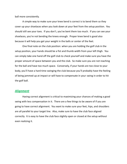ball more consistently.

A simple way to make sure your knee bend is correct is to bend them so they cover up your shoelaces when you look down at your feet from the setup position. You should still see your toes. If you don't, you've bent them too much. If you can see your shoelaces, you're not bending the knees enough. Proper knee bend is good also because it will help you get your weight in the balls or center of the feet.

One final note on the club position: when you are holding the golf club in the setup position, your hands should be a fist and thumb width from your left thigh. You can simply take one hand off the golf club to check yourself and make sure you have the proper amount of space between you and the club. So make sure you are not reaching for the ball and have too much space. Conversely, if your hands are too close to your body, you'll have a hard time swinging the club because you'll probably have the feeling of being jammed up at impact or will have to compensate in your swing in order to hit the golf ball.

#### *Alignment*

Having correct alignment is critical to maximizing your chances of making a good swing with less compensation in it. There are a few things to be aware of if you are going to have correct alignment. You want to make sure your feet, hips, and shoulders are all parallel to your target line. Also, make sure to have the club face aligned correctly. It is easy to have the club face slightly open or closed at the setup without even realizing it.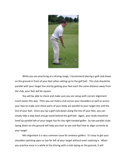

While you are practicing at a driving range, I recommend placing a golf club down on the ground in front of your feet when setting up to the golf ball. This club should be parallel with your target line and by getting your feet each the same distance away from the club, your feet will be square.

You will be able to check and make sure you are setup with correct alignment much easier this way. Then you can hold a club across your shoulders as well as across your hips to make sure these parts of your body are parallel to your target line and the line of your feet. Once you lay a golf club down along the line of your feet, you can simply take a step back and go stand behind the golf ball. Again, your body should be lined up parallel left of your target line for the right handed golfer. So two parallel clubs laying down on the ground will help you start to see and feel how to align correctly to your target.

Mis-alignment is a very common issue for amateur golfers. It's easy to get your shoulders pointing open or too far left of your target without even realizing it. When you practice once in a while at the driving with a club laying on the ground, it will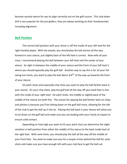become second nature for you to align correctly out on the golf course. This club down drill is very popular for the pro golfers, they are always working on their fundamentals including alignment.

#### *Ball Position*

The correct ball position with your driver is off the inside of your left heel for the right handed player. With the woods, you should play the ball almost all the way forward in your stance, just slightly back of the left heel is correct. Now with all your irons, I recommend playing the ball between your left heel and the center of your stance. So right in between the middle of your stance and the front of your left heel is where you should typically play the golf ball. Another way to say this is for all your full swing iron shots, you want to play the ball about  $3/4^{ths}$  of the way up towards the front of your stance.

On pitch shots and especially chip shots you want to play the ball farther back in your stance. On your chip shots, play the golf ball all the way off your back foot in line with the inside of your right heel. On pitch shots, the middle or slightly back of the middle of the stance are both fine. The reason for playing the ball farther back on chips and pitches is because you'll be hitting down on the golf ball more, allowing for the loft of the club to get the ball up in the air. Playing the ball back in your stance will allow you to hit down on the golf ball and make sure you are leading with your hands at impact to ensure solid contact.

Depending on how high you want to hit your pitch shot can determine the slight variation in ball position from either the middle of the stance to the back inside heel of the right foot. With sand shots, you should play the ball all the way off the middle of your front foot. You want to make sure you hit a couple inches behind the ball for sand shots and make sure you have enough loft with your club face to get the ball out.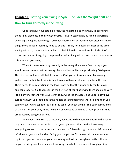## **Chapter 2: Getting Your Swing in Sync – Includes the Weight Shift and How to Turn Correctly in the Swing**

Once you have your setup in order, the next step is to know how to coordinate the turning elements in the swing correctly. I like to keep things as simple as possible when explaining the golf swing. Too much information or technical talk often can make things more difficult than they need to be and is really not necessary most of the time. Having said that, there are times when it is helpful to discuss and teach a little bit of correct technique. I'm going to explain the basics of a good turn and how to incorporate this into your golf swing.

When it comes to turning properly in the swing, there are a few concepts you should know. In a correct backswing, the shoulders will turn approximately 90 degrees. The hips turn will turn half that distance, or 45 degrees. A common problem many golfers have in their backswing is they turn everything all at once right from the start. There needs to be restriction in the lower body so that the upper body can turn over it and coil properly. So, that means in the first half of your backswing there should be very little if any movement with your lower body. Once the shoulders and upper body have turned halfway, you should be in the middle of your backswing. At this point, then you can turn everything together to finish the top of your backswing. This correct sequence of the parts of your body in the swing will allow you to eliminate a lot of problems that are caused by being out of sync.

When you are making a backswing, you want to shift your weight from the center of your stance over to the inside part of your right foot. Then on the downswing everything comes back to center and then in your follow through onto your left foot and left side and you should end up facing your target. You'll come up all the way on your right toe if you've completed your downswing and follow through correctly. I like to help golfers improve their balance by making them hold their follow through position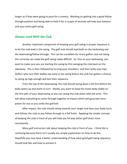longer as if they were going to pose for a camera. Working on getting into a good follow through position and being able to hold it for a couple of seconds will help your balance and your entire golf swing.

#### *Always Lead With the Club*

Another important component of keeping your golf swing in proper sequence is to let the club lead in the swing. The golf club should lead both on the backswing and the downswing/follow through. This can be a problem for many golfers and not doing this correctly can make the golf swing really difficult. So, first on your backswing, you want to make sure you are starting the swing by first swinging the club back on the takeaway. This is then followed by turning your shoulders, and then lastly your hips. Golfers who turn their bodies too early in the swing before the club has gotten a chance to swing up high enough will lose their sequence.

From the top of the downswing, the club should swing down a bit first before the body opens up and starts to turn. Ideally, you want to keep the lower body stable on the first part of your downswing so you can swing the club down with the arms. This will allow everything to come through together at impact which will generate more power for you as you strike the golf ball.

After impact, the club should swing towards your target and then your body turns and follows the club as you follow through to a full finish. Applying the simple concept of keeping the club in front of you will help you hit way better golf shots more consistently.

Many golf instructors talk about keeping the club in front of you. I think this is confusing because there isn't usually any simple explanation on how to do this. Hopefully you now have a better understanding of how what good golf swing sequence should look like and how to achieve it.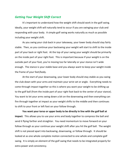#### *Getting Your Weight Shift Correct*

It's important to understand how the weight shift should work in the golf swing. Ideally, your weight shift will naturally tend to occur if you are swinging your club and responding with your body. A simple golf swing works naturally as much as possible including your weight shift.

As you swing your club back in your takeaway, your lower body should stay fairly stable. Then, as you continue your backswing your weight will start to shift to the inside part of your back or right foot. At the top of your swing your weight should be primarily on the inside part of your right foot. This is important because if your weight is on the outside part of your foot, you're moving too far laterally or your stance isn't wide enough. The stance is your stable base and you always want to keep your weight inside the frame of your feet/body.

At the start of your downswing, your lower body should stay stable as you swing the club down with your arms and maintain your wrist set or angle. Everything needs to come through impact together so this is where you want your weight to be shifting up to the golf ball (from the inside part of your right foot back to the center of your stance). You want to let your arms swing down a bit on the downswing and then everything can fire through together at impact as your weight shifts to the middle and then continues to shift to your front or left foot on your follow through.

**You want your torso or upper body to be directly in line with the golf ball at impact**. This allows you to use your arms and body together to compress the ball and send it flying farther and straighter. You need momentum to move forward on your follow through as your continue your weight shift after you hit the golf ball. The weight shift is not pieced apart into backswing, downswing, or follow through. It should be looked at as one whole complete motion connected to one whole and complete golf swing. It is simply an element of the golf swing that needs to be integrated properly for extra power and consistency.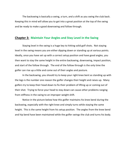The backswing is basically a swing, a turn, and a shift as you swing the club back. Keeping this in mind will allow you to get into a great position at the top of the swing and be ready to make a good downswing and follow through.

#### **Chapter 3: Maintain Your Angles and Stay Level in the Swing**

Staying level in the swing is a huge key to hitting solid golf shots. Not staying level in the swing means you are either dipping down or standing up at various points. Ideally, once you have set up with a correct setup position and have good angles, you then want to stay the same height in the entire backswing, downswing, impact position, and start of the follow through. The end of the follow through is the only time the golfer can rise up a little and come out of their angles and posture.

In the backswing, you should try to keep your right knee bent as standing up with the legs is the number one reason the golfer changes their height and raises up. Many golfers try to keep their head down to fix their problem of lifting up or coming out of their shot. Trying to force your head to stay down can cause other problems ranging from stiffness in the swing to an improper weight shift.

Notice in the picture below how this golfer maintains his knee bend during the backswing, especially with the right knee and simply turns while staying the same height. This is the same height from his setup position. The angles from the knee bend and hip bend have been maintained while the golfer swings the club and turns his body.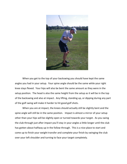

When you get to the top of your backswing you should have kept the same angles you had in your setup. Your spine angle should be the same while your right knee stays flexed. Your hips will also be bent the same amount as they were in the setup position. The head is also the same height from the setup as it will be in the top of the backswing and also at impact. Any lifting, standing up, or dipping during any part of the golf swing will make it harder to hit good golf shots.

When you are at impact, the knees should actually still be slightly bent and the spine angle will still be in the same position. Impact is almost a mirror of your setup other than your hips will be slightly open or turned towards your target. As you swing the club through just after impact you'll stay in your angles a little longer until the club has gotten about halfway up in the follow through. This is a nice place to start and come up to finish your weight transfer and complete your finish by swinging the club over your left shoulder and turning to face your target completely.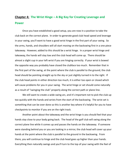## **Chapter 4: The Wrist Hinge – A Big Key for Creating Leverage and Power**

Once you have established a good setup, you are now in a position to take the club back on the correct plane. In order to generate good club head speed and leverage in your swing, you'll want to have a good wrist hinge in the first part of your swing. So the arms, hands, and shoulders will all start moving on the backswing first in a one piece takeaway. However, added to this should be a wrist hinge. In a proper wrist hinge and takeaway, the hands will stay low and the club head will come up. There should be almost a slight cup in your left wrist if you are hinging correctly. If your wrist is bowed the opposite way you probably have closed the clubface too much. Remember that in the first part of the swing, at the point where the club is parallel to the ground, the club head should be pointing straight up to the sky or just slightly turned in to the right. If the club head points in either direction too much, it is either too open or closed which will cause problems for you in your swing. The wrist hinge or set should come naturally as a result of "swinging the club" properly along the correct path or plane line.

We still want to create a wide swing arc, and it's important not to pick the club up too quickly with the hands and wrists from the start of the backswing. The wrist set is something that can be over done so this is another key where it's helpful for you to have checkpoints to monitor if you are on the right track.

Another point about the takeaway and the wrist hinge is you should feel that your hands stay close to your body going back. The head of the golf club will swing along the correct plane line while it comes up and passes the hands on the takeaway. If someone were standing behind you or you are looking in a mirror, the club head will cover up your hands at the point where the club is parallel to the ground in the backswing. From there, you will continue to hinge and the club head goes up higher than your hands. Everything then naturally swings and you'll turn to the top of your swing with the feel of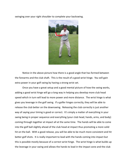swinging over your right shoulder to complete your backswing.



Notice in the above picture how there is a good angle that has formed between the forearms and the club shaft. This is the result of a good wrist hinge. You will gain extra power in your golf swing by having a strong wrist set.

Once you have a great setup and a good mental picture of how the swing works, adding a good wrist hinge will go a long way in helping you develop more club head speed which in turn will lead to more power and more distance. The wrist hinge is what gives you leverage in the golf swing. If a golfer hinges correctly, they will be able to release the club better on the downswing. Releasing the club correctly is just another way of saying your timing is good or correct. It's simply a matter of everything in your swing being in proper sequence and everything (your club head, hands, arms, and body) coming through together at impact all at the same time. The hands will be able to come into the golf ball slightly ahead of the club head at impact thus promoting a more solid hit on the ball. With a good release, you will be able to be much more consistent and hit better golf shots. It is really important to lead with the hands coming into impact but this is possible mostly because of a correct wrist hinge. The wrist hinge is what builds up the leverage in your swing and allows the hands to lead in the impact zone and the club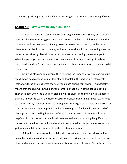is able to "zip" through the golf ball better allowing for more solid, consistent golf shots.

#### **Chapter 5: Easy Ways to Stay "On Plane"**

The swing plane is a common term used in golf instruction. Simply put, the swing plane is related to the swing path and has to do with the line the club swings on in the backswing and the downswing. Ideally, we want to see the club swing on the same plane as it start back in the backswing and as it comes down in the downswing near the impact zone. Great golfers all have perfect or near perfect swing planes at impact. When the plane gets off or there are too many planes in your golf swing, it makes golf much harder and you'll have to rely on timing and other compensations to be able to hit a good shot.

Swinging off plane can mean either swinging too upright, or vertical, or swinging the club too much around you, or laid off and too flat in the backswing. Many golf instructors focus on being what they call "on plane" during your swing. This basically means that the club will swing along the same line that it is in at the set up position. Then at impact when the club is on plane it will look just like the way it was at address. Basically in order to swing the club correctly on plane, certain things in your swing need to happen. Many golf pros will focus on segments of the golf swing instead of looking at it as one whole unit. It is helpful to think of the swing as a fluid whole unit instead of piecing it apart and making it more confusing than is necessary. I have found some helpful drills over the years that will help anyone easily learn to swing the golf club on the correct plane line. You will now be able to set yourself up for more success in your golf swing and hit better, more solid and consistent golf shots.

Before I give a couple of helpful drills for swinging on plane, I need to emphasize again that having a good setup with correct posture is critical for being able to swing on plane and minimize having to make compensations in your golf swing. So make sure you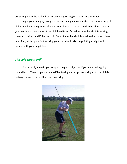are setting up to the golf ball correctly with good angles and correct alignment.

Begin your swing by taking a slow backswing and stop at the point where the golf club is parallel to the ground. If you were to look in a mirror, the club head will cover up your hands if it is on plane. If the club head is too far behind your hands, it is moving too much inside. And if the club is in front of your hands, it is outside the correct plane line. Also, at this point in the swing your club should also be pointing straight and parallel with your target line.

#### *The Left Elbow Drill*

For this drill, you will get set up to the golf ball just as if you were really going to try and hit it. Then simply make a half backswing and stop. Just swing until the club is halfway up, sort of a mini half practice swing.

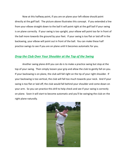Now at this halfway point, if you are on plane your left elbow should point directly at the golf ball. The picture above illustrates this concept. If you extended a line from your elbow straight down to the ball it will point right at the golf ball if your swing is on plane correctly. If your swing is too upright, your elbow will point too far in front of the ball more towards the ground by your feet. If your swing is too flat or laid off in the backswing, your elbow will point out in front of the ball. You can make these half practice swings to see if you are on plane until it becomes automatic for you.

#### *Drop the Club Over Your Shoulder at the Top of the Swing*

Another swing plane drill you can do is to make a practice swing but stop at the top of your swing. Then simply loosen your grip and allow the club to gently fall on you. If your backswing is on plane, the club will fall right on the tip of your right shoulder. If your backswing is too vertical, the club will fall too much towards your neck. And if your swing is too flat or laid off, the club would fall behind your shoulder and come down on your arm. So you can practice this drill to help check and see if your swing is correctly on plane. Soon it will start to become automatic and you'll be swinging the club on the right plane naturally.

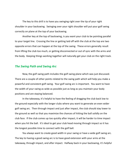The key to this drill is to have you swinging right over the tip of your right shoulder in your backswing. Swinging over your right shoulder will put your golf swing correctly on plane at the top of your backswing.

Another key at the top of backswing, is you want your club to be pointing parallel to your target line. Crossing the line or getting laid off with the club at the top are two opposite errors that can happen at the top of the swing. These errors generally result from lifting the club too much, or getting disconnected or out of sync with the arms and the body. Keeping things working together will naturally get your club on the right track.

#### *The Swing Path and Swing Arc*

Now, the golf swing path includes the golf swing plane which was just discussed. There are a couple of other points related to the swing path which will help you make a powerful and consistent golf swing. Your golf swing arc is important. You want to have the width of your swing as wide as possible just as long as you maintain your body positions and are staying balanced.

In the takeaway, it's helpful to have the feeling of dragging the club back low to the ground especially with the longer clubs where you want to generate an even wider golf swing arc. Then through impact and just after impact, the club should stay lower to the ground as well so that you maximize the chances of hitting the ball solidly on the club face. If the club comes up too quickly after impact, it will be harder to time impact when you hit the ball. It's ideal to get your club head moving through impact so it has the longest possible time to connect with the golf ball.

You always want to create good width in your swing or have a wide golf swing arc. The key to having a good swing arc is to have good extension with your arms at the takeaway, through impact, and after impact. Halfway back in your backswing, it's helpful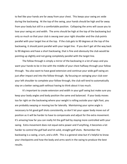to feel like your hands are far away from your chest. This keeps your swing arc wide during the backswing. At the top of the swing, your hands should be high and far away from your body but still in a comfortable position. Collapsing the arms will cause you to lose your swing arc and width. The arms should be high at the top of the backswing but only so much so that your club is swung over your right shoulder and the club points parallel with your target line at the top. If the club gets to 90 degrees at the top of the backswing, it should point parallel with your target line. If you don't get all the way back to 90 degrees and have a short backswing, that is fine and obviously the club would be pointing up slightly and not going completely parallel with the target line.

The follow through is simply a mirror of the backswing in a lot of ways and you want your hands to be in line with the middle of your chest halfway through your follow through. You also want to have good extension and continue your wide golf swing arc just after impact and into the follow through. By focusing on swinging your club over your left shoulder to complete your follow through, the club will tend to automatically stay on a better swing path without having to think about it too much.

It's important to create extension and width in your golf swing but make sure you keep your body angles and body position the same and balanced. If your body moves too far right on the backswing where your weight is rolling outside your right foot, you are probably swaying or moving too far laterally. Maintaining your spine angle is necessary to hit good golf shots consistently, so don't let your upper body move out of position as it will be harder to have to compensate and adjust for the extra movement. It's amazing how far you can really hit the golf ball by staying more controlled with your swing. Extra movement does not equal extra power and if anything, it becomes a lot harder to control the golf ball and hit solid, straight golf shots. Remember the backswing is a swing, a turn, and a shift. This is a general view but it's helpful to know your checkpoints and how the body and arms work in the swing to produce the best results.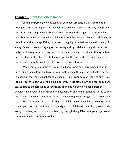#### **Chapter 6: Keys for Perfect Impact**

Getting everything to come together at impact properly is a big key to hitting great golf shots. Getting the club and your body coming together properly at impact is one of the main things I teach golfers who are mostly at the beginner or intermediate level, but the advanced player can still benefit from this concept. Golfers of all levels can benefit from this concept if they have been struggling with their sequence in their golf swing. Once you are making a good backswing and a good downswing with a proper weight shift along with swinging the club on plane, you need to get your timing on track and blend all this together. Try to focus on getting the club and your body back to the impact position to the similar position you were in at address.

When you set up to the ball, you should have some angles from bending your knees and bending from the hips. So you want to come through the golf ball at impact in a position that maintains those same angles. Your lower body will start to open up a little bit, but at impact you should make sure your head stays down and your shoulders stay square to the target line of your shot. Your hips will actually open before the shoulders do if you are in the proper impact position and swing sequence. In the correct impact position, your hands will lead the club head slightly allowing for a more solid hit of the golf ball. Having the hands leading the club head will allow for more consistency in your golf shots. So remember to try and get your club head, upper body, lower body, arms, shoulders, head, and hands all coming through the golf ball at impact together at the same time for maximum results.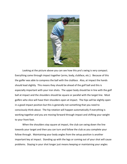

Looking at the picture above you can see how this pro's swing is very compact. Everything came through impact together (arms, body, clubface, etc.). Because of this the golfer was able to compress the ball with the clubface. Also, at impact the hands should lead slightly. This means they should be ahead of the golf ball and this is especially important with your iron shots. The upper body should be in line with the golf ball at impact and the shoulders should be square or parallel with the target line. Most golfers who slice will have their shoulders open at impact. The hips will be slightly open in a good impact position but this is generally not something that you need to consciously think about. The hip rotation will happen automatically if everything is working together and you are moving forward through impact and shifting your weight to your front foot.

When the shoulders stay square at impact, the club can swing down the line towards your target and then you can turn and follow the club as you complete your follow through. Maintaining your body angles from the setup position is another important key at impact. Standing up with the legs or coming out of your shot will cause problems. Staying in your shot longer just means keeping or maintaining your angles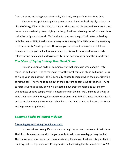from the setup including your spine angle, hip bend, along with a slight knee bend.

One more key point at impact is you want your hands to lead slightly so they are ahead of the golf ball at the point of contact. This is especially true with your irons shots because you are hitting down slightly on the golf ball and allowing the loft of the club to make the ball go up in the air. You're able to compress the golf ball better by leading with the hands. With the driver or fairway woods swing, it's a little more of a sweeping motion so this isn't as important. However, you never want to have your club head coming up to the golf ball before your hands as this would be caused from an early release or too much hand and wrist activity in the downswing or near the impact zone.

#### *The Myth of Trying to Keep Your Head Down*

Here is a common myth or common error that comes up when people try to teach the golf swing. One of the most, if not the most common cliché golf swing tips is to "keep your head down". This is generally related to impact when the golfer is trying to hit the ball. They tend to come out of their posture or come out of the shot. Trying to force your head to stay down will do nothing but create tension and cut off any smoothness or good tempo which is necessary to hit the ball well. Instead of trying to keep their head down, the golfer should focus on staying in their angles through impact, and particular keeping their knees slightly bent. The head comes up because the knees and legs have straightened.

#### *Common Faults at Impact Include:*

#### **\* Standing Up Or Coming Out Of Your Shot.**

So many times I see golfers stand up through impact and come out of their shots. Their body is already done with the golf shot but their arms have lagged way behind. This is a very common error that many amateur golfers make. I believe this goes back to realizing that the hips only turn 45 degrees in the backswing but the shoulders turn 90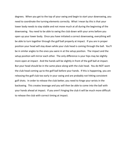degrees. When you get to the top of your swing and begin to start your downswing, you need to coordinate the turning elements correctly. What I mean by this is that your lower body needs to stay stable and not move much at all during the beginning of the downswing. You need to be able to swing the club down with your arms before you open up your lower body. Once you have initiated a correct downswing, everything will be able to turn together through the golf ball properly at impact. If you are in proper position your head will stay down while your club head is coming through the ball. You'll be in similar angles to the ones you were in at the setup position. The impact and the setup position will mirror each other. The only difference is your hips may be slightly more open at impact. And the hands will be slightly in front of the golf ball at impact. But your head should be in the same place along with the club head. You do NOT want the club head coming up to the golf ball before your hands. If this is happening, you are releasing the golf club too early in your swing and are probably not hitting consistent golf shots. In order to release the club better, you need to hinge your wrists in the backswing. This creates leverage and you will then be able to come into the ball with your hands ahead at impact. If you aren't hinging the club it will be much more difficult to release the club with correct timing at impact.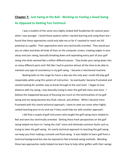## **Chapter 7: Just Swing at the Ball - Working on Feeling a Good Swing As Opposed to Getting Too Technical**

I was a student of the some very highly ranked Golf Academies for several years when I was younger. I loved these systems when I started learning and using them but I found that these approaches could only take me so far if I wanted to reach my full potential as a golfer. Their approaches were very technically oriented. They would put you on video and draw all kinds of lines on the computer screen, creating angles in your setup and your swing, basically breaking down and separating every part of your golf swing into what seemed like a million different pieces. They broke your swing down into so many different parts and I felt like I had to practice almost all the time to be able to maintain any type of consistency in my golf swing. I became a mechanical machine.

Beating balls on the range for hours a day was the only way I could still play golf respectably while using this system of instruction. So eventually I became frustrated and started looking for another way to break through to the next level. I began to lose distance with my swing, I was basically trying to steer the golf ball more and more. I believe this happened because of focusing too much on the technicalities of my golf swing and my swing became less fluid, natural, and athletic. While I became more frustrated with this overly technical approach, I went to seek out some other highly ranked teaching pros to try and see if they could help me with another approach.

I did find a couple of golf instructors who taught the golf swing more related to feel and were less technically oriented. Getting these fresh perspectives on the golf swing helped me learn to "swing the club" more and eliminate common faults such as trying to steer the golf swing. An overly technical approach to teaching the golf swing can keep you from making a smooth and fluid swing. It was helpful to learn golf from a technical background but also be exposed to feel oriented swing methods. Blending these two approaches really helped me learn how to help other golfers with their swings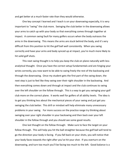and get better at a much faster rate than they would otherwise.

One key concept I learned and I teach is on your downswing especially, it is very important to "swing" the club more. Swinging the club better in the downswing allows your arms to catch up with your body so that everything comes through together at impact. A common swing fault for many golfers occurs when the body outraces the arms in the downswing. This means the arms are stuck behind the body, and it's very difficult from this position to hit the golf ball well consistently. When you swing correctly and have your arms and body synced up at impact, you're much more likely to hit solid golf shots.

This next swing thought is to help you keep the club on plane naturally with less analytical thought. Once you have the correct setup fundamentals and are hinging your wrists correctly, you now want to be able to swing freely the rest of the backswing and through the downswing. Once my student gets the first part of the swing down, the next step is just to feel like they swing over their right shoulder in the backswing. And then everything comes down and through at impact and the club continues to swing over the left shoulder on the follow through. This is a way to get you swinging your golf club more on the correct plane. It works well for golfers of all ability levels. The idea is to get you thinking less about the mechanical pieces of your swing and just get you swinging the club better. This drill or mindset will help eliminate many unnecessary problems in your swing. For more success on the practice range try thinking about swinging over your right shoulder in your backswing and then back over your left shoulder in the follow through and you should see some good results.

One last thought on the follow through: Make sure to face the target on your follow through. This will help you hit the ball straighter because the golf ball will tend to go the direction your body is facing. If you fall back on your shots, you will notice that your body faces towards the right after you've hit your shot. If you overturn on the downswing, and turn too much you'll be facing too much to the left. Good balance is a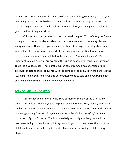big key. You should never feel like you are off balance or falling over in any part of your golf swing. Maintain a stable base to swing and turn around and stay in control. The parts of the golf swing are simple and the more effortless your swing feels, the better you should be hitting your shots.

It's important to work on technique to a certain degree. You definitely don't want to neglect your setup fundamentals or key checkpoints related to the swing plane or swing sequence. However, if you are spending hours thinking or worrying about what your left wrist is doing in a certain part of your swing you are getting too technical.

Here is one more point related to the concept of "swinging the club". It's important to make sure you are swinging the club as opposed to trying to lift, steer, or guide the club too much. These problems can come from too much tension or grip pressure, or getting out of sequence with the arms and the body. Trying to generate the "swinging" feeling will help your club automatically tend to stay on a good swing path and swing plane so this is a helpful concept to work on.

#### *Let The Club Do The Work*

This concept applies more to the irons because of the loft of the club. Many times I see amateur golfers trying to help the ball up in the air. They may try and scoop the ball or have too much wrist action. When you are making a good swing with an iron or a wedge, *simply focus on hitting down on the ball and allow the loft of the club to make the ball go up in the air.* The irons are designed to dig into the ground with a downward swing. So just focus on hitting down on your shots and allow the loft of the club head to make the ball go up in the air. Remember no scooping or chili dipping allowed.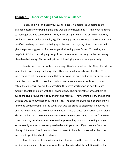#### **Chapter 8: Understanding That Golf is a Balance**

To play golf well and keep your swing in gear, it's helpful to understand the balance necessary for swinging the club well on a consistent basis. I find what happens to many golfers who take lessons is they work on a particular area or swing fault they are having. Let's say for example, a golfer's swing plane is too steep or too vertical. Any certified teaching pro could probably spot this and the majority of instructors would give the player suggestions for how to get their swing plane flatter. To do this, it is helpful to think about swinging the golf club more around the body on the backswing like a baseball swing. This would get the club swinging more around your body.

Here is the issue that will come up very often in a case like this: The golfer will do what the instructor says and very diligently work on what needs to get better. They keep trying to get their swing plane flatter by doing the drills and using the suggestions the instructor gave them. Well after a few days, a couple weeks, or however long it takes, the golfer will overdo the correction they were working on so now they are actually too flat or laid off with their swing plane. Their pro/instructor told them to swing the club around their body and try and feel this. They continually try and do this with no way to know when they should stop. The opposite swing fault or problem will likely end up developing. So the swing that was too steep to begin with is now too flat and the golfer in not aware of how to maintain a nice balance for a correct swing plane. The lesson here is: **You must have checkpoints in your golf swing.** You don't have to have too many but there must be several important key points of the swing that you know exactly where you are supposed to be with your club. If you deviate from the checkpoint in one direction or another, you want to be able to know what the issue is and how to get things back in balance.

If a golfer comes to me with a similar situation as in the case of the steep or vertical swing plane; I show them what the problem is, what the solution will be for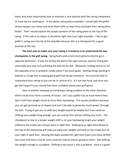them, and most importantly how to maintain a nice balance with the swing component or issue we are working on. In the above swing plane example, I would take the golfer whose swing is too steep and show them drills or ways they could get their swing plane flatter. Then I would explain the proper position of the swing plane at the top of the swing. If the club is on plane, it should be right over your right shoulder. I like to get golfer's swing over the tip of the shoulder because this is a checkpoint for a good position at the top.

**The best way to make sure your swing is in balance is to understand the key checkpoints in the golf swing.** Swing faults and errant shot patterns tend to go in opposite directions. If you are hitting the ball to the right and you work on fixing this, eventually you may end up hitting the ball too far left. Obviously, trading one error for the opposite error or problem simply doesn't do much good. Getting things working in balance is a huge key to playing great golf and being consistent. You must be able to understand your swing so you can be in control of it. It's not that hard, and once you get the hang of it you should feel more confident about your golf game.

Here is another example of overdoing a swing problem in the other direction which could occur from a variety of issues. Let's say a golfer has an issue where they don't shift their weight much at all on their backswing. This causes problems because you can get jammed up at impact and won't be able to generate much power through the ball. Trying to get you to shift your weight would be helpful but if you work on shifting your weight long enough, you can overdo this and be shifting too much. The checkpoint or key to a proper weight shift is on your backswing to get your weight shifted to the inside part of your back or right foot. Keeping your right knee flexed at the top of the backswing will help you keep your weight correctly on the inside part of your right or back foot. Moving the body outside the right foot means you have shifted too much and there may be some incorrect lateral motion going on there. Not shifting the weight enough is a problem. Shifting it too much is also a problem. Here is a good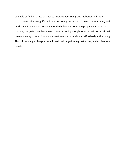example of finding a nice balance to improve your swing and hit better golf shots.

Eventually, any golfer will overdo a swing correction if they continuously try and work on it if they do not know where the balance is. With the proper checkpoint or balance, the golfer can then move to another swing thought or take their focus off their previous swing issue so it can work itself in more naturally and effortlessly in the swing. This is how you get things accomplished, build a golf swing that works, and achieve real results.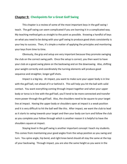#### **Chapter 9: Checkpoints for a Great Golf Swing**

This chapter is a review of some of the most important keys in the golf swing I teach. The golf swing can seem complicated if you are learning it in a complicated way. My teaching method gets as straight to the point as possible. Knowing a handful of keys on what you need to be doing with your golf swing to produce good shots consistently is your key to success. Then, it's simple a matter of applying the principles and monitoring your keys from time to time.

Obviously, the grip and setup are very important because they promote swinging the club on the correct swing path. Once the setup is correct, you then want to have your club on a good swing plane on the backswing and on the downswing. Also, shifting your weight correctly and coordinately the turning elements will produce good sequence and straighter, longer golf shots.

Impact is a big key. At impact, you want to make sure your upper body is in line with the golf ball, not ahead of it or behind it. This will help you hit the ball with solid contact. You want everything coming through impact together and when your upper body or torso is in line with the golf ball, you'll tend to be more connected and transfer more power through the golf ball. Also, the shoulders need to be square to your target line at impact. Having the upper body or shoulders open at impact is a weak position and it is very difficult to hit the ball well like this. After impact, we want the club to lead as it starts to swing towards your target and then your body can turn and follow the club as you complete your follow through which is another reason it is helpful to have the shoulders square at impact.

Staying level in the golf swing is another important concept I teach my students. This comes from maintaining your good angles from the setup position as you swing and turn. You spine angle, hip bend, and right knee bend should all stay the same at the top of your backswing. Through impact, you are also the same height as you were in the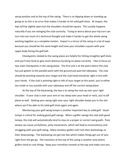setup position and at the top of the swing. There is no dipping down or standing up going on as this is an error that makes it harder to hit solid golf shots. At impact, the hips will be slightly open but the shoulders should be square. This usually happens naturally if you are swinging the club correctly. Trying to worry about your hip turn can turn into too much of a technical thought and make it harder to get the whole swing working together as a complete motion. Impact is a mirror of the setup in a lot of ways because you should be the same height and have your shoulders square with your upper body facing the golf ball.

Checkpoints related to the swing plane are helpful for hitting straighter golf shots and you'll also tend to gain more distance by being on plane correctly. I like to focus on two main checkpoints in the swing plane. The first one is at the point where the club has just gotten to the parallel point with the ground just past the takeaway. The club should be pointing towards your target and the club head should be right in line with your hands. If the club is pointing right or left of your target at this point, you're either too inside or too outside with your takeaway and off the correct swing plane.

At the top of the backswing, the key is to swing the club up over your right shoulder. If your club is over your arm or too steep over your head or neck, you're off plane as well. Getting your swing right over your right shoulder keeps you in the slot where you'll be able to hit solid golf shots again and again.

Monitoring your golf swing tempo is another important key to solid golf. Good tempo is critical for making good golf swings. When a golfer swings the club with good tempo, the club will automatically tend to stay on a proper or correct swing path. Poor tempo can cause unrhythmic, jerky movements, which will lead to inconsistency and struggling with your golf swing. Many amateur golfers will rush their backswings or their downswings. The backswing can get too fast which makes things get out of sync right from the get go. The transition at the top of the swing is another area where golfers tend to rush things. Keep your transition smooth at the top and make sure you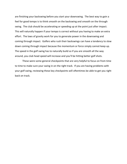are finishing your backswing before you start your downswing. The best way to gain a feel for good tempo is to think smooth on the backswing and smooth on the through swing. The club should be accelerating or speeding up at the point just after impact. This will naturally happen if your tempo is correct without you having to make an extra effort. The laws of gravity work for you to generate power in the downswing and coming through impact. Golfers who rush their backswings can have a tendency to slow down coming through impact because the momentum or force simply cannot keep up. The speed in the golf swing has to naturally build so if you are smooth all the way around, you club head speed will increase and you'll be hitting better golf shots.

These were some general checkpoints that are very helpful to focus on from time to time to make sure your swing in on the right track. If you are having problems with your golf swing, reviewing these key checkpoints will oftentimes be able to get you right back on track.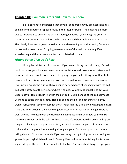#### **Chapter 10: Common Errors and How to Fix Them**

It is important to understand that any golf shot problem you are experiencing is coming from a specific or specific faults in the setup or swing. The best and quickest way to improve is to understand what is causing what with your swing and your shot patterns. It's amazing that golfers can hit the same bad shot multiple times in a row. This clearly illustrates a golfer who does not understanding what their swing faults are or how to improve them. I'm going to cover some of the basic problems golfers experiencing and the causes and effects associated with them.

#### *Hitting Fat or Thin Golf Shots*

Hitting the ball fat or thin is no fun. If you aren't hitting the ball solidly, it's really hard to control your distance. In extreme cases, fat shots will lose a lot of distance and extreme thin shots could even consist of topping the golf ball. Hitting fat or thin shots can come from raising up or dipping down in your golf swing. If you focus on staying level in your swing, the club will have a much better change of connecting with the golf ball at the bottom of the swing arc where it should. A big key at impact is to get your upper body or torso right in line with the golf ball. Getting ahead of the ball at impact will tend to cause thin golf shots. Hanging behind the ball and not transferring your weight forward will tend to cause fat shots. Releasing the club early by having too much hand and wrist action in the downswing will oftentimes cause fat or thin golf shots as well. Always try to lead with the club handle at impact as this will allow you to make more solid contact with the ball. With your irons, it's important to hit down slightly on the golf ball at impact. If you take a divot, it should be after the golf ball. You hit the ball and then the ground as you swing through impact. Don't worry too much about taking divots. It'll happen naturally if you are doing the right things with your swing and generating enough club head speed. Some golfers do fine without taking divots or just slightly clipping the grass after contact with the ball. The important thing is to get your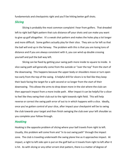fundamentals and checkpoints right and you'll be hitting better golf shots.

#### *Slicing*

Slicing is probably the most common complaint I hear from golfers. That dreaded left to right ball flight pattern that cuts distance off your shots and can make you want to give up golf altogether. It's a weak shot pattern and makes the holes play a lot longer and more difficult. Some golfers actually play for their slice. They aim so far left so that the ball will end up in the fairway. The problem with this is that you are losing tons of distance and if you are always consistent with it, you can wind up double crossing yourself and pull the ball way left.

Slicing can be fixed by getting your swing path more inside to square to inside. A slice swing path will generally come from the outside or "over the top" from the start of the downswing. This happens because the upper body or shoulders move or turn open too early from the top of the swing. A helpful drill for slicers is to feel like they keep their back facing the target for a split second or so longer from the start of their downswing. This allows the arms to drop down more in the slot where the club can then approach impact from a more inside path. After impact it can be helpful for a slicer to feel like they swing their club out to the right towards right field. This will help reverse or correct the swing path error of out to in which happens with a slice. Ideally, once you've gotten control of your slice, after impact your checkpoint will be to swing the club towards your target and then finish swinging the club over your left shoulder as you complete your follow through.

#### *Hooking*

Hooking is the opposite problem of slicing where your ball travels from right to left. Usually, this problem will come from and "in to out swing path" through the impact zone. The club is traveling underneath the swing plane line as it approaches impact. At impact, a right to left side spin is put on the golf ball so it travels from right to left after it is hit. As with slicing or any other errant shot pattern, there is a matter of degree of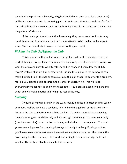severity of the problem. Obviously, a big hook (which can even be called a duck hook) will have a more severe in to out swing path. After impact, the club travels too far "out" towards right field when we want it to ideally swing towards the target and then up over the golfer's left shoulder.

If the hands get too active in the downswing, they can cause a hook by turning the club face over in almost a violent or forceful attempt to hit the ball in the impact zone. The club face shuts down and extreme hooking can result.

#### *Picking the Club Up/Lifting the Club*

This is a swing path problem where the golfer can lose their arc right from the start of their golf swing. It can continue in the backswing as a lift instead of a swing. We want the arms and body to work together and this happens if you allow the club to "swing" instead of lifting it up or steering it. Picking the club up in the backswing can make it difficult to hit the ball or can also cause thin golf shots. To counter this problem, feel like you drag the club back from the start of the backswing. This will keep everything more connected and working together. You'll create a good swing arc and width and will make a better golf swing the rest of the way.

#### *Swaying*

Swaying or moving laterally in the swing makes it difficult to catch the ball solidly at impact. Golfers can have a tendency to hit behind the golf ball or hit fat golf shots because the club can bottom out behind the ball. If a golfer sways in the backswing, they are moving too much laterally and not enough rotationally. You want your body (shoulders and hips) to turn in the backswing and wind up to create power. You can't generate much power from moving sideways to the right in the golf swing and then you'll have to compensate or move the exact same distance back the other way in the downswing to offset the sway. Just work on turning better into your right side and you'll pretty easily be able to eliminate this problem.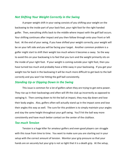#### *Not Shifting Your Weight Correctly in the Swing*

A proper weight shift in your swing consists of you shifting your weight on the backswing to the inside part of your back foot, your right foot for the right handed golfer. Then, everything shifts back to the middle where impact with the golf ball occurs. Your shifting continues after impact and you then follow through onto your front or left foot. At the end of your swing, if you have shifted your weight correctly, your weight will be on your left side and you will be facing your target. Another common problem is a golfer might start to shift their weight too much where it becomes a sway. So the way to avoid this on your backswing is to feel that you turn and the weight primarily sits on the inside of your right foot. If your weight is coming outside your right foot, then you have turned too much and probably have a little sway in your backswing. If you get your weight too far back in the backswing it will be much more difficult to get back to the ball correctly and you won't be hitting the golf ball consistently.

#### *Standing Up or Dipping Down in the Swing*

This issue is common for a lot of golfers when they are trying to get extra power. They rise up in their backswings and often will lift the club up incorrectly as opposed to swinging it. Then coming down to hit the ball at impact, they may dip down and lose their body angles. Also, golfers often will actually stand up in the impact zone and lose their angles this way as well. The cure for this problem is to simply maintain your angles and stay the same height throughout your golf swing. You'll hit the ball way more consistently and have much better contact on the center of the clubface.

#### *Too much Tension*

Tension is a huge killer for amateur golfers and even good players can struggle with this issue from time to time. You want to make sure you are starting out in your setup with the correct amount of tension. Monitor your grip pressure so that your hands are on securely but your grip is not so tight that it is a death grip. At the setup,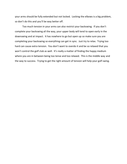your arms should be fully extended but not locked. Locking the elbows is a big problem, so don't do this and you'll be way better off.

Too much tension in your arms can also restrict your backswing. If you don't complete your backswing all the way, your upper body will tend to open early in the downswing and at impact. It has nowhere to go but open up so make sure you are completing your backswing so everything can get in sync. Just try to relax. Trying too hard can cause extra tension. You don't want to overdo it and be so relaxed that you won't control the golf club as well. It's really a matter of finding the happy medium where you are in between being too tense and too relaxed. This is the middle way and the way to success. Trying to get the right amount of tension will help your golf swing.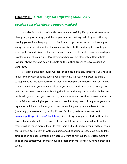#### **Chapter 11: Mental Keys for Improving More Easily**

#### *Develop Your Plan (Goals, Strategy, Mindset)*

In order for you to consistently become a successful golfer, you must have some clear goals, a good strategy, and the proper mindset. Setting realistic goals is the key to pushing yourself and keeping your motivation up to get better. After you have a good swing that you can bring out on the course consistently, the next step to learn to play smart golf. Good decision making on the golf course is so helpful. Learn your yardages, how far you hit all your clubs. Pay attention when you are playing to different hole layouts. Always try to be below the hole on the putting greens to leave yourself an uphill putt.

Strategy on the golf course will consist of a couple things. First of all, you need to know some things about the course you are playing. It's really important to build a strategy that fits the golf course setup well. For example, on a shorter golf course, you may not need to hit your driver as often as you would on a longer course. Many short golf courses reward accuracy so keeping the driver in the bag on some short holes can really help you out. On your tee shots, you want to try and position yourself on the side of the fairway that will give you the best approach to the green. Hitting more greens in regulation will help you lower your scores quite a bit, given you are a decent putter. (Hopefully you have read my putting Ebook.  $\odot$  If not, make sure to check out www.golfputtinggenius.com/ebook.html). And hitting more greens starts with setting up good approach shots to the green. If you are hitting out of the rough or from the trees it will be much more difficult to make pars and birdies which you need to get your scores lower. On holes with water, bunkers, or out of bounds areas, make sure to take extra caution and consideration on where you want to hit your shots. Just remember good course strategy will improve your golf score even more once you have a great golf swing.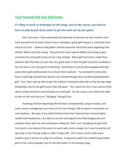#### *Trust Yourself and Your Golf Swing*

## *It's Okay to work on technique on the range, but on the course, you need to learn to play by feel if you want to get the most out of your game.*

Over the years, I have personally learned how to become my own teacher and I have learned how to teach others how to develop a great golf swing in a relatively short amount of time. I believe that golfers should work with what they have regarding their athletic ability and their swing. Everyone has some natural ability and trying to give everyone the same golf swing can be a big mistake. Many golf instructors make their students feel that they are just not very good when in fact the golf instructor probably is the one who is not very good at teaching. Sometimes it can be discouraging watching some other golf professionals try to teach their students. I've worked for some who have a really big clientele but they do not consistently get their students playing better golf. Sure, they may be able to get the students hitting the ball well on the driving range (hopefully), but on the golf course they fall apart. The reason for this is you cannot think about swing mechanics and still play your best golf. On the course, you need to be able to rely on feel and focus on "swinging" the golf club.

Teaching and learning things like the basic fundamentals, proper tempo, and some course management are three of the main things I like to work on and teach my own students. Because of my solid fundamentals that I learned from several highly ranked Golf Academies, I am able to use the techniques from that background and combine them with my new techniques related to "feel" and "swinging the golf club". I've found a nice balance the seems to work well, and no longer do I need to practice all day long on the driving range in order to play well. Plus I have success with every student I give a lesson to using this method. It's great to watch my students play better golf on the course besides just hit the ball better on the driving range.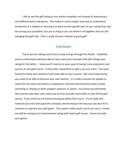I like to see the golf swing as one whole complete unit instead of separating it into different parts and pieces. This makes it much simpler and easy to understand. Sometimes it is helpful or necessary to work on one specific part of your swing that may be causing you a problem, but just as long as you can blend it all together and are still swinging the golf club. That is really the key I believe to great golf.

#### **Conclusion**

Thank you for taking some time to read and go through this Ebook. Hopefully you've understood and been able to learn some key concepts that will change your swing for the better. I know you'll now be on your way to having more enjoyment and success on the golf course. A final note I would like to add is you are smart. You have found this book and I believe it will really add to your success. But most importantly, you need to be able to become your own teacher. It is really common for people to search for the latest hot advice or equipment and then feel that they need to keep searching or relying on other people's opinions or advice. You know yourself better than anyone else does and I want you to trust yourself more both on and off the golf course. If you think you've found some good advice then use it. Try to make the material your own and apply the concepts and techniques the way you see best fit to continue to improve your golf game. This system really works and if you use it, I know you will be seeing much improvement along with lower golf scores. Great luck with your game!